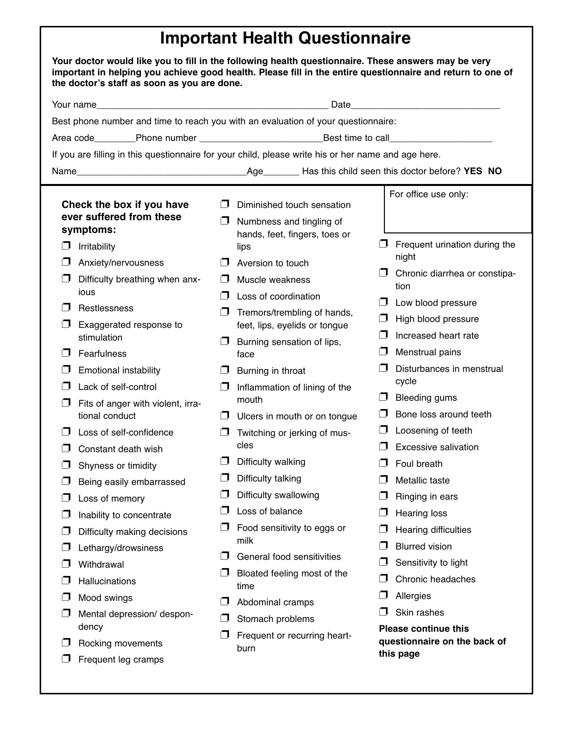## **Important Health Questionnaire**

| Your doctor would like you to fill in the following health questionnaire. These answers may be very<br>important in helping you achieve good health. Please fill in the entire questionnaire and return to one of<br>the doctor's staff as soon as you are done.                                                                                                                                                                                                                                                                                                                                                                                    |                                                                                                                                                                                                                                                                                                                                                                                                                                                                                                                                                                                                                                                                                                                                                                                                        |                                                                                                                                                                                                                                                                                                                                                                                                                                                                                                                |  |  |
|-----------------------------------------------------------------------------------------------------------------------------------------------------------------------------------------------------------------------------------------------------------------------------------------------------------------------------------------------------------------------------------------------------------------------------------------------------------------------------------------------------------------------------------------------------------------------------------------------------------------------------------------------------|--------------------------------------------------------------------------------------------------------------------------------------------------------------------------------------------------------------------------------------------------------------------------------------------------------------------------------------------------------------------------------------------------------------------------------------------------------------------------------------------------------------------------------------------------------------------------------------------------------------------------------------------------------------------------------------------------------------------------------------------------------------------------------------------------------|----------------------------------------------------------------------------------------------------------------------------------------------------------------------------------------------------------------------------------------------------------------------------------------------------------------------------------------------------------------------------------------------------------------------------------------------------------------------------------------------------------------|--|--|
| Date and the contract of the contract of the contract of the contract of the contract of the contract of the contract of the contract of the contract of the contract of the contract of the contract of the contract of the c<br>Your name                                                                                                                                                                                                                                                                                                                                                                                                         |                                                                                                                                                                                                                                                                                                                                                                                                                                                                                                                                                                                                                                                                                                                                                                                                        |                                                                                                                                                                                                                                                                                                                                                                                                                                                                                                                |  |  |
| Best phone number and time to reach you with an evaluation of your questionnaire:                                                                                                                                                                                                                                                                                                                                                                                                                                                                                                                                                                   |                                                                                                                                                                                                                                                                                                                                                                                                                                                                                                                                                                                                                                                                                                                                                                                                        |                                                                                                                                                                                                                                                                                                                                                                                                                                                                                                                |  |  |
| Area code________Phone number ___________________________________Best time to call__________________                                                                                                                                                                                                                                                                                                                                                                                                                                                                                                                                                |                                                                                                                                                                                                                                                                                                                                                                                                                                                                                                                                                                                                                                                                                                                                                                                                        |                                                                                                                                                                                                                                                                                                                                                                                                                                                                                                                |  |  |
| If you are filling in this questionnaire for your child, please write his or her name and age here.                                                                                                                                                                                                                                                                                                                                                                                                                                                                                                                                                 |                                                                                                                                                                                                                                                                                                                                                                                                                                                                                                                                                                                                                                                                                                                                                                                                        |                                                                                                                                                                                                                                                                                                                                                                                                                                                                                                                |  |  |
|                                                                                                                                                                                                                                                                                                                                                                                                                                                                                                                                                                                                                                                     |                                                                                                                                                                                                                                                                                                                                                                                                                                                                                                                                                                                                                                                                                                                                                                                                        |                                                                                                                                                                                                                                                                                                                                                                                                                                                                                                                |  |  |
| Check the box if you have<br>ever suffered from these<br>symptoms:<br><b>Irritability</b><br>IJ<br>Anxiety/nervousness<br>Difficulty breathing when anx-<br>ious<br>Restlessness<br>Exaggerated response to<br>stimulation<br>Fearfulness<br><b>Emotional instability</b><br>∣  <br>Lack of self-control<br>▁▁▎<br>Fits of anger with violent, irra-<br>tional conduct<br>Loss of self-confidence<br>Constant death wish<br>Shyness or timidity<br>J<br>Being easily embarrassed<br>Loss of memory<br>IJ<br>Inability to concentrate<br>U<br>Difficulty making decisions<br>IJ<br>Lethargy/drowsiness<br>Withdrawal<br>l J<br><b>Hallucinations</b> | Diminished touch sensation<br>  I<br>$\Box$<br>Numbness and tingling of<br>hands, feet, fingers, toes or<br>$\Box$<br>lips<br>Aversion to touch<br>Muscle weakness<br>H<br>Loss of coordination<br>$\sqcup$<br>Tremors/trembling of hands,<br>$\sqcup$<br>feet, lips, eyelids or tongue<br>∣  <br>Burning sensation of lips,<br>$\blacksquare$<br>l J<br>face<br>Burning in throat<br>Inflammation of lining of the<br>IJ<br>□<br>mouth<br>$\Box$ Ulcers in mouth or on tongue<br>Twitching or jerking of mus-<br>IJ<br>cles<br>$\Box$ Difficulty walking<br>Difficulty talking<br>l 1<br>Difficulty swallowing<br>$\Box$<br>Loss of balance<br>$\Box$<br>Food sensitivity to eggs or<br>$\Box$<br>milk<br>$\Box$<br>General food sensitivities<br>$\Box$<br>Bloated feeling most of the<br>IJ<br>time | For office use only:<br>Frequent urination during the<br>night<br>Chronic diarrhea or constipa-<br>tion<br>Low blood pressure<br>High blood pressure<br>Increased heart rate<br>Menstrual pains<br>Disturbances in menstrual<br>cycle<br><b>Bleeding gums</b><br>Bone loss around teeth<br>Loosening of teeth<br>Excessive salivation<br>Foul breath<br>Metallic taste<br>Ringing in ears<br><b>Hearing loss</b><br>Hearing difficulties<br><b>Blurred vision</b><br>Sensitivity to light<br>Chronic headaches |  |  |
| Mood swings<br>l J<br>Mental depression/ despon-<br>dency<br>Rocking movements<br>Frequent leg cramps                                                                                                                                                                                                                                                                                                                                                                                                                                                                                                                                               | IJ<br>Abdominal cramps<br>∣  <br>Stomach problems<br>U<br>Frequent or recurring heart-<br>burn                                                                                                                                                                                                                                                                                                                                                                                                                                                                                                                                                                                                                                                                                                         | Allergies<br>Skin rashes<br><b>Please continue this</b><br>questionnaire on the back of<br>this page                                                                                                                                                                                                                                                                                                                                                                                                           |  |  |